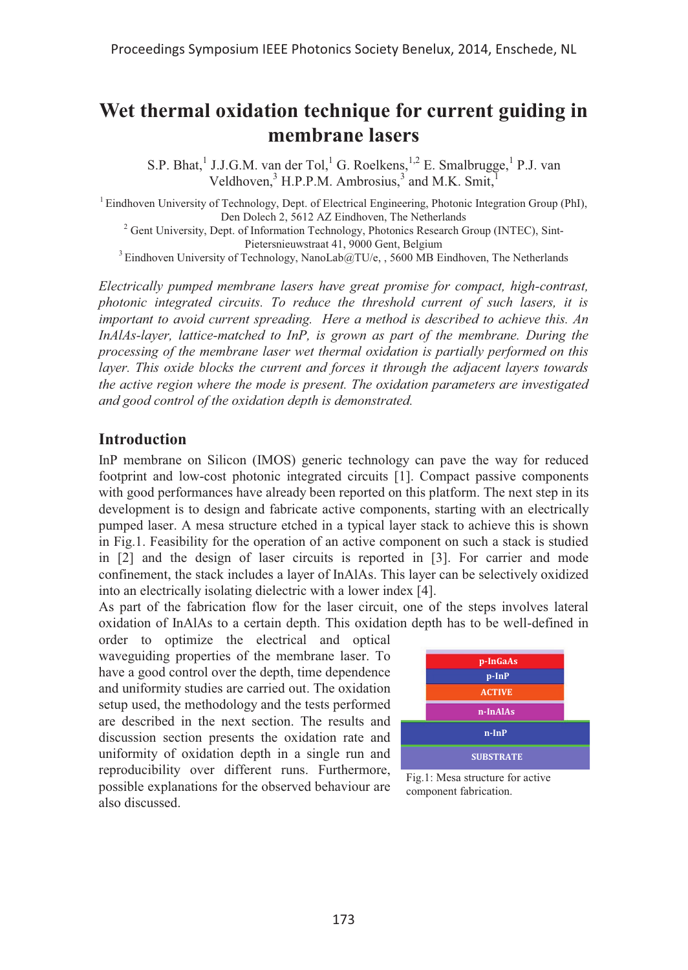# **Wet thermal oxidation technique for current guiding in membrane lasers**

S.P. Bhat,<sup>1</sup> J.J.G.M. van der Tol,<sup>1</sup> G. Roelkens,<sup>1,2</sup> E. Smalbrugge,<sup>1</sup> P.J. van Veldhoven, $3$  H.P.P.M. Ambrosius, $3$  and M.K. Smit, $1$ 

<sup>1</sup> Eindhoven University of Technology, Dept. of Electrical Engineering, Photonic Integration Group (PhI), <sup>2</sup> Gent University, Dept. of Information Technology, Photonics Research Group (INTEC), Sint-

Pietersnieuwstraat 41, 9000 Gent, Belgium<br><sup>3</sup> Eindhoven University of Technology, NanoLab@TU/e, , 5600 MB Eindhoven, The Netherlands

*Electrically pumped membrane lasers have great promise for compact, high-contrast, photonic integrated circuits. To reduce the threshold current of such lasers, it is important to avoid current spreading. Here a method is described to achieve this. An InAlAs-layer, lattice-matched to InP, is grown as part of the membrane. During the processing of the membrane laser wet thermal oxidation is partially performed on this layer. This oxide blocks the current and forces it through the adjacent layers towards the active region where the mode is present. The oxidation parameters are investigated and good control of the oxidation depth is demonstrated.* 

#### **Introduction**

InP membrane on Silicon (IMOS) generic technology can pave the way for reduced footprint and low-cost photonic integrated circuits [1]. Compact passive components with good performances have already been reported on this platform. The next step in its development is to design and fabricate active components, starting with an electrically pumped laser. A mesa structure etched in a typical layer stack to achieve this is shown in Fig.1. Feasibility for the operation of an active component on such a stack is studied in [2] and the design of laser circuits is reported in [3]. For carrier and mode confinement, the stack includes a layer of InAlAs. This layer can be selectively oxidized into an electrically isolating dielectric with a lower index [4].

As part of the fabrication flow for the laser circuit, one of the steps involves lateral oxidation of InAlAs to a certain depth. This oxidation depth has to be well-defined in

order to optimize the electrical and optical waveguiding properties of the membrane laser. To have a good control over the depth, time dependence and uniformity studies are carried out. The oxidation setup used, the methodology and the tests performed are described in the next section. The results and discussion section presents the oxidation rate and uniformity of oxidation depth in a single run and reproducibility over different runs. Furthermore, possible explanations for the observed behaviour are also discussed.



Fig.1: Mesa structure for active component fabrication.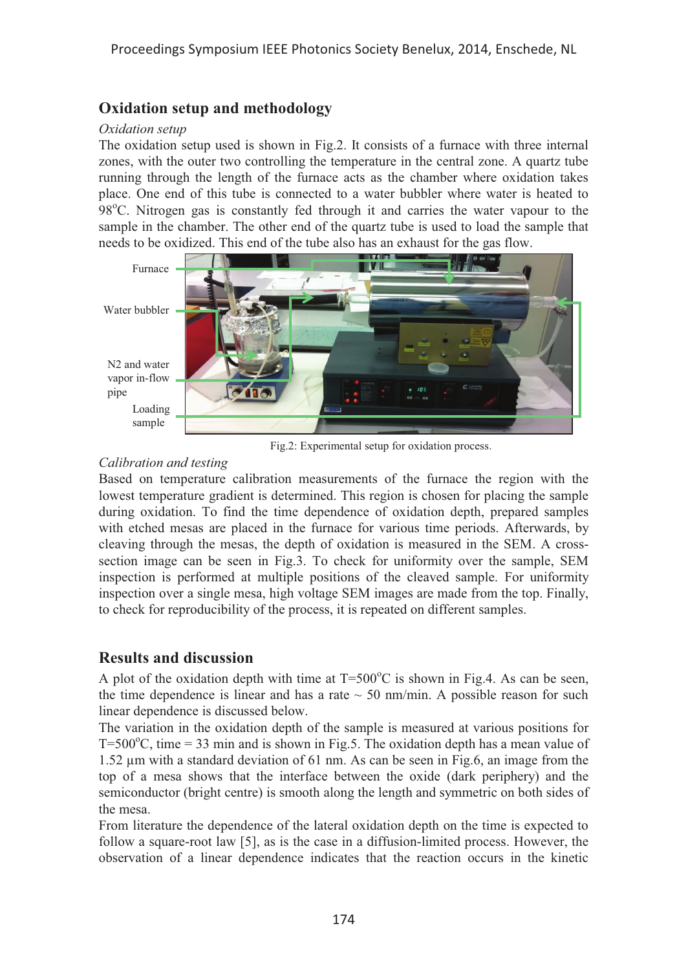# **Oxidation setup and methodology**

#### *Oxidation setup*

The oxidation setup used is shown in Fig.2. It consists of a furnace with three internal zones, with the outer two controlling the temperature in the central zone. A quartz tube running through the length of the furnace acts as the chamber where oxidation takes place. One end of this tube is connected to a water bubbler where water is heated to 98°C. Nitrogen gas is constantly fed through it and carries the water vapour to the sample in the chamber. The other end of the quartz tube is used to load the sample that needs to be oxidized. This end of the tube also has an exhaust for the gas flow.



Fig.2: Experimental setup for oxidation process.

#### *Calibration and testing*

Based on temperature calibration measurements of the furnace the region with the lowest temperature gradient is determined. This region is chosen for placing the sample during oxidation. To find the time dependence of oxidation depth, prepared samples with etched mesas are placed in the furnace for various time periods. Afterwards, by cleaving through the mesas, the depth of oxidation is measured in the SEM. A crosssection image can be seen in Fig.3. To check for uniformity over the sample, SEM inspection is performed at multiple positions of the cleaved sample. For uniformity inspection over a single mesa, high voltage SEM images are made from the top. Finally, to check for reproducibility of the process, it is repeated on different samples.

# **Results and discussion**

A plot of the oxidation depth with time at  $T=500^{\circ}$ C is shown in Fig.4. As can be seen, the time dependence is linear and has a rate  $\sim$  50 nm/min. A possible reason for such linear dependence is discussed below.

The variation in the oxidation depth of the sample is measured at various positions for T=500 $^{\circ}$ C, time = 33 min and is shown in Fig.5. The oxidation depth has a mean value of 1.52 μm with a standard deviation of 61 nm. As can be seen in Fig.6, an image from the top of a mesa shows that the interface between the oxide (dark periphery) and the semiconductor (bright centre) is smooth along the length and symmetric on both sides of the mesa.

From literature the dependence of the lateral oxidation depth on the time is expected to follow a square-root law [5], as is the case in a diffusion-limited process. However, the observation of a linear dependence indicates that the reaction occurs in the kinetic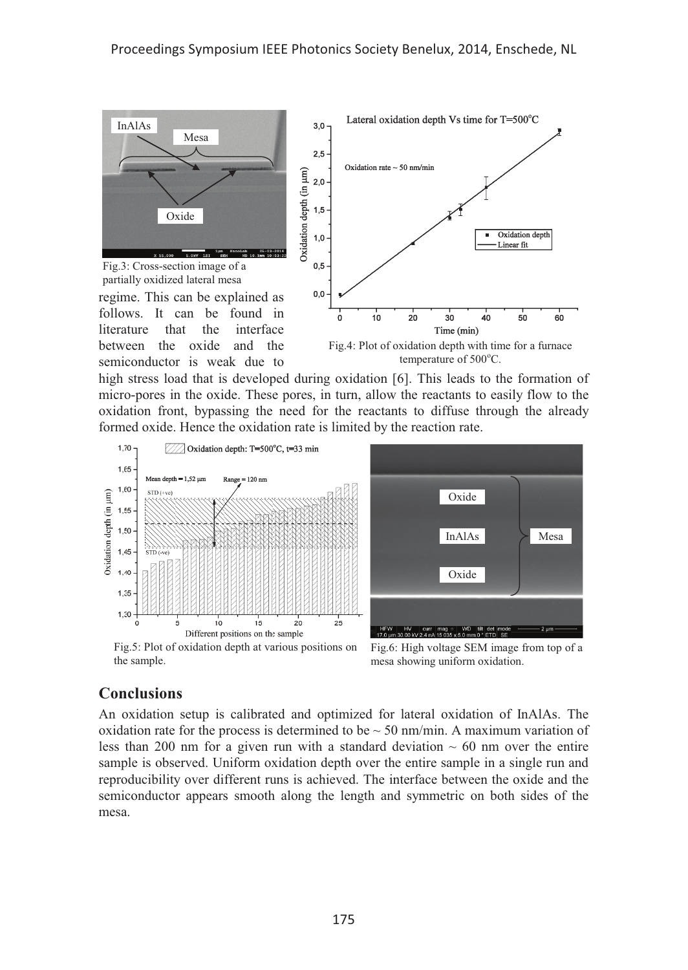

Fig.3: Cross-section image of a partially oxidized lateral mesa

regime. This can be explained as follows. It can be found in literature that the interface between the oxide and the semiconductor is weak due to



Fig.4: Plot of oxidation depth with time for a furnace temperature of 500°C.

high stress load that is developed during oxidation [6]. This leads to the formation of micro-pores in the oxide. These pores, in turn, allow the reactants to easily flow to the oxidation front, bypassing the need for the reactants to diffuse through the already formed oxide. Hence the oxidation rate is limited by the reaction rate.



## **Conclusions**

An oxidation setup is calibrated and optimized for lateral oxidation of InAlAs. The oxidation rate for the process is determined to be  $\sim$  50 nm/min. A maximum variation of less than 200 nm for a given run with a standard deviation  $\sim 60$  nm over the entire sample is observed. Uniform oxidation depth over the entire sample in a single run and reproducibility over different runs is achieved. The interface between the oxide and the semiconductor appears smooth along the length and symmetric on both sides of the mesa.